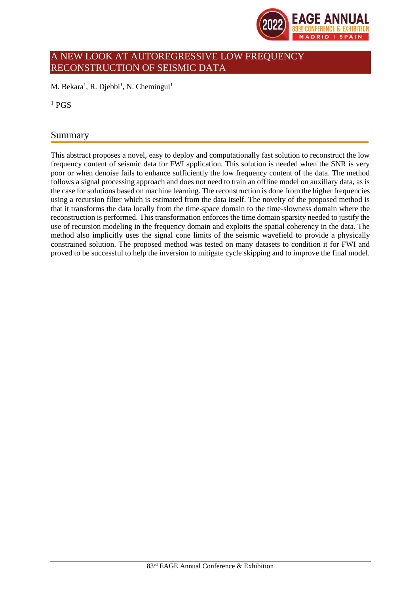

# A NEW LOOK AT AUTOREGRESSIVE LOW FREQUENCY RECONSTRUCTION OF SEISMIC DATA

M. Bekara<sup>1</sup>, R. Djebbi<sup>1</sup>, N. Chemingui<sup>1</sup>

 $1$  PGS

## Summary

This abstract proposes a novel, easy to deploy and computationally fast solution to reconstruct the low frequency content of seismic data for FWI application. This solution is needed when the SNR is very poor or when denoise fails to enhance sufficiently the low frequency content of the data. The method follows a signal processing approach and does not need to train an offline model on auxiliary data, as is the case for solutions based on machine learning. The reconstruction is done from the higher frequencies using a recursion filter which is estimated from the data itself. The novelty of the proposed method is that it transforms the data locally from the time-space domain to the time-slowness domain where the reconstruction is performed. This transformation enforces the time domain sparsity needed to justify the use of recursion modeling in the frequency domain and exploits the spatial coherency in the data. The method also implicitly uses the signal cone limits of the seismic wavefield to provide a physically constrained solution. The proposed method was tested on many datasets to condition it for FWI and proved to be successful to help the inversion to mitigate cycle skipping and to improve the final model.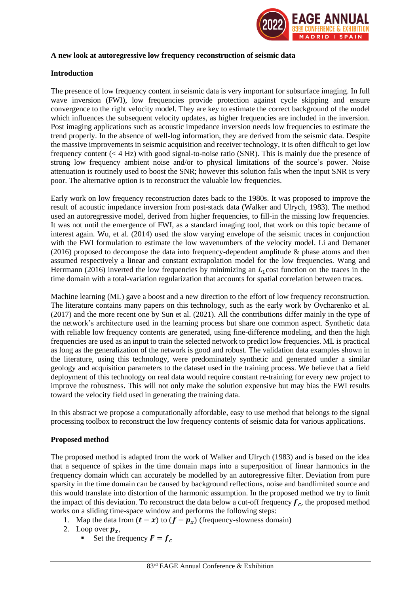

#### **A new look at autoregressive low frequency reconstruction of seismic data**

### **Introduction**

The presence of low frequency content in seismic data is very important for subsurface imaging. In full wave inversion (FWI), low frequencies provide protection against cycle skipping and ensure convergence to the right velocity model. They are key to estimate the correct background of the model which influences the subsequent velocity updates, as higher frequencies are included in the inversion. Post imaging applications such as acoustic impedance inversion needs low frequencies to estimate the trend properly. In the absence of well-log information, they are derived from the seismic data. Despite the massive improvements in seismic acquisition and receiver technology, it is often difficult to get low frequency content  $( $4$  Hz) with good signal-to-noise ratio (SNR). This is mainly due the presence of$ strong low frequency ambient noise and/or to physical limitations of the source's power. Noise attenuation is routinely used to boost the SNR; however this solution fails when the input SNR is very poor. The alternative option is to reconstruct the valuable low frequencies.

Early work on low frequency reconstruction dates back to the 1980s. It was proposed to improve the result of acoustic impedance inversion from post-stack data (Walker and Ulrych, 1983). The method used an autoregressive model, derived from higher frequencies, to fill-in the missing low frequencies. It was not until the emergence of FWI, as a standard imaging tool, that work on this topic became of interest again. Wu, et al. (2014) used the slow varying envelope of the seismic traces in conjunction with the FWI formulation to estimate the low wavenumbers of the velocity model. Li and Demanet (2016) proposed to decompose the data into frequency-dependent amplitude  $\&$  phase atoms and then assumed respectively a linear and constant extrapolation model for the low frequencies. Wang and Herrmann (2016) inverted the low frequencies by minimizing an  $L_1$ cost function on the traces in the time domain with a total-variation regularization that accounts for spatial correlation between traces.

Machine learning (ML) gave a boost and a new direction to the effort of low frequency reconstruction. The literature contains many papers on this technology, such as the early work by Ovcharenko et al. (2017) and the more recent one by Sun et al. (2021). All the contributions differ mainly in the type of the network's architecture used in the learning process but share one common aspect. Synthetic data with reliable low frequency contents are generated, using fine-difference modeling, and then the high frequencies are used as an input to train the selected network to predict low frequencies. ML is practical as long as the generalization of the network is good and robust. The validation data examples shown in the literature, using this technology, were predominately synthetic and generated under a similar geology and acquisition parameters to the dataset used in the training process. We believe that a field deployment of this technology on real data would require constant re-training for every new project to improve the robustness. This will not only make the solution expensive but may bias the FWI results toward the velocity field used in generating the training data.

In this abstract we propose a computationally affordable, easy to use method that belongs to the signal processing toolbox to reconstruct the low frequency contents of seismic data for various applications.

#### **Proposed method**

The proposed method is adapted from the work of Walker and Ulrych (1983) and is based on the idea that a sequence of spikes in the time domain maps into a superposition of linear harmonics in the frequency domain which can accurately be modelled by an autoregressive filter. Deviation from pure sparsity in the time domain can be caused by background reflections, noise and bandlimited source and this would translate into distortion of the harmonic assumption. In the proposed method we try to limit the impact of this deviation. To reconstruct the data below a cut-off frequency  $f_c$ , the proposed method works on a sliding time-space window and performs the following steps:

- 1. Map the data from  $(t x)$  to  $(f p_x)$  (frequency-slowness domain)
- 2. Loop over  $p_x$ ,
	- **•** Set the frequency  $\mathbf{F} = \mathbf{f}_c$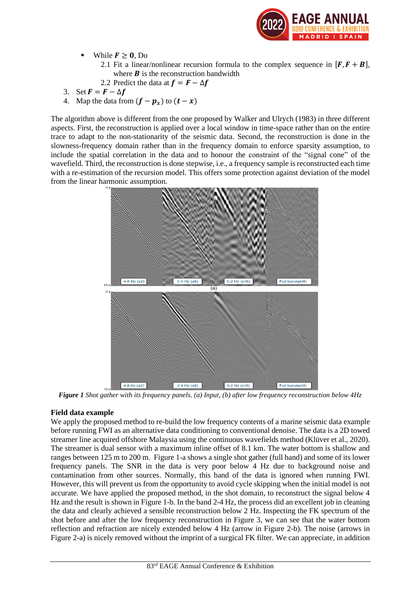

- While  $F \geq 0$ , Do
	- 2.1 Fit a linear/nonlinear recursion formula to the complex sequence in  $[F, F + B]$ , where  $\boldsymbol{B}$  is the reconstruction bandwidth
	- 2.2 Predict the data at  $f = F \Delta f$
- 3. Set  $\mathbf{F} = \mathbf{F} \Delta \mathbf{f}$
- 4. Map the data from  $(f p_x)$  to  $(t x)$

The algorithm above is different from the one proposed by Walker and Ulrych (1983) in three different aspects. First, the reconstruction is applied over a local window in time-space rather than on the entire trace to adapt to the non-stationarity of the seismic data. Second, the reconstruction is done in the slowness-frequency domain rather than in the frequency domain to enforce sparsity assumption, to include the spatial correlation in the data and to honour the constraint of the "signal cone" of the wavefield. Third, the reconstruction is done stepwise, i.e., a frequency sample is reconstructed each time with a re-estimation of the recursion model. This offers some protection against deviation of the model from the linear harmonic assumption.



*Figure 1 Shot gather with its frequency panels. (a) Input, (b) after low frequency reconstruction below 4Hz*

## **Field data example**

We apply the proposed method to re-build the low frequency contents of a marine seismic data example before running FWI as an alternative data conditioning to conventional denoise. The data is a 2D towed streamer line acquired offshore Malaysia using the continuous wavefields method (Klüver et al., 2020). The streamer is dual sensor with a maximum inline offset of 8.1 km. The water bottom is shallow and ranges between 125 m to 200 m. Figure 1-a shows a single shot gather (full band) and some of its lower frequency panels. The SNR in the data is very poor below 4 Hz due to background noise and contamination from other sources. Normally, this band of the data is ignored when running FWI. However, this will prevent us from the opportunity to avoid cycle skipping when the initial model is not accurate. We have applied the proposed method, in the shot domain, to reconstruct the signal below 4 Hz and the result is shown in Figure 1-b. In the band 2-4 Hz, the process did an excellent job in cleaning the data and clearly achieved a sensible reconstruction below 2 Hz. Inspecting the FK spectrum of the shot before and after the low frequency reconstruction in Figure 3, we can see that the water bottom reflection and refraction are nicely extended below 4 Hz (arrow in Figure 2-b). The noise (arrows in Figure 2-a) is nicely removed without the imprint of a surgical FK filter. We can appreciate, in addition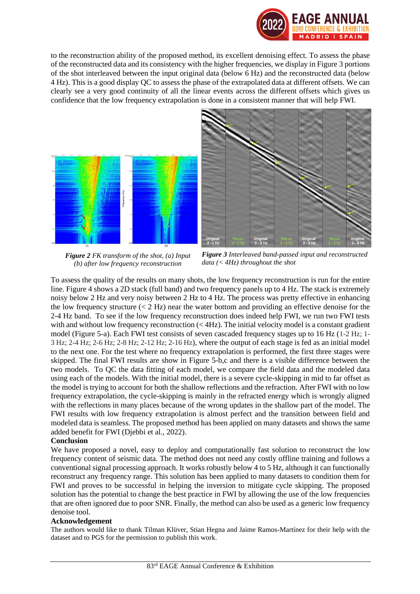

to the reconstruction ability of the proposed method, its excellent denoising effect. To assess the phase of the reconstructed data and its consistency with the higher frequencies, we display in Figure 3 portions of the shot interleaved between the input original data (below 6 Hz) and the reconstructed data (below 4 Hz). This is a good display QC to assess the phase of the extrapolated data at different offsets. We can clearly see a very good continuity of all the linear events across the different offsets which gives us confidence that the low frequency extrapolation is done in a consistent manner that will help FWI.



*Figure 2 FK transform of the shot, (a) Input (b) after low frequency reconstruction*

*Figure 3 Interleaved band-passed input and reconstructed data (< 4Hz) throughout the shot*

To assess the quality of the results on many shots, the low frequency reconstruction is run for the entire line. Figure 4 shows a 2D stack (full band) and two frequency panels up to 4 Hz. The stack is extremely noisy below 2 Hz and very noisy between 2 Hz to 4 Hz. The process was pretty effective in enhancing the low frequency structure  $(< 2$  Hz) near the water bottom and providing an effective denoise for the 2-4 Hz band. To see if the low frequency reconstruction does indeed help FWI, we run two FWI tests with and without low frequency reconstruction  $( $4Hz$ ). The initial velocity model is a constant gradient$ model (Figure 5-a). Each FWI test consists of seven cascaded frequency stages up to 16 Hz (1-2 Hz; 1- 3 Hz; 2-4 Hz; 2-6 Hz; 2-8 Hz; 2-12 Hz; 2-16 Hz), where the output of each stage is fed as an initial model to the next one. For the test where no frequency extrapolation is performed, the first three stages were skipped. The final FWI results are show in Figure 5-b,c and there is a visible difference between the two models. To QC the data fitting of each model, we compare the field data and the modeled data using each of the models. With the initial model, there is a severe cycle-skipping in mid to far offset as the model is trying to account for both the shallow reflections and the refraction. After FWI with no low frequency extrapolation, the cycle-skipping is mainly in the refracted energy which is wrongly aligned with the reflections in many places because of the wrong updates in the shallow part of the model. The FWI results with low frequency extrapolation is almost perfect and the transition between field and modeled data is seamless. The proposed method has been applied on many datasets and shows the same added benefit for FWI (Djebbi et al., 2022).

## **Conclusion**

We have proposed a novel, easy to deploy and computationally fast solution to reconstruct the low frequency content of seismic data. The method does not need any costly offline training and follows a conventional signal processing approach. It works robustly below 4 to 5 Hz, although it can functionally reconstruct any frequency range. This solution has been applied to many datasets to condition them for FWI and proves to be successful in helping the inversion to mitigate cycle skipping. The proposed solution has the potential to change the best practice in FWI by allowing the use of the low frequencies that are often ignored due to poor SNR. Finally, the method can also be used as a generic low frequency denoise tool.

## **Acknowledgement**

The authors would like to thank Tilman Klüver, Stian Hegna and Jaime Ramos-Martínez for their help with the dataset and to PGS for the permission to publish this work.